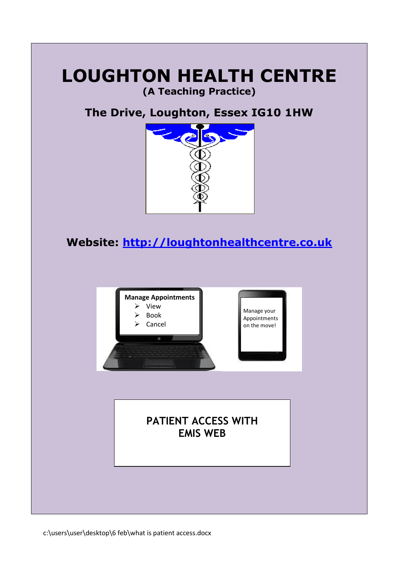# **LOUGHTON HEALTH CENTRE**

**(A Teaching Practice)**

#### **The Drive, Loughton, Essex IG10 1HW**



**Website: [http://loughtonhealthcentre.co.uk](http://loughtonhealthcentre.co.uk/)**



#### **PATIENT ACCESS WITH EMIS WEB**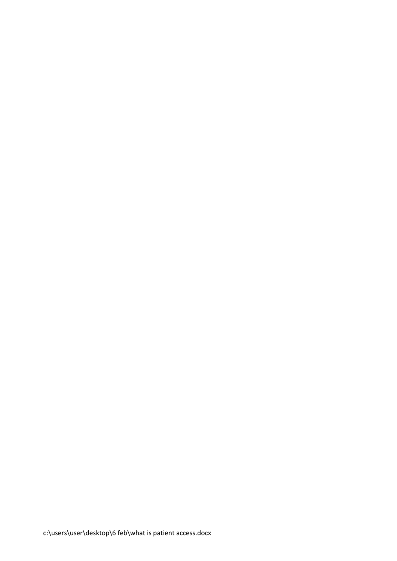c:\users\user\desktop\6 feb\what is patient access.docx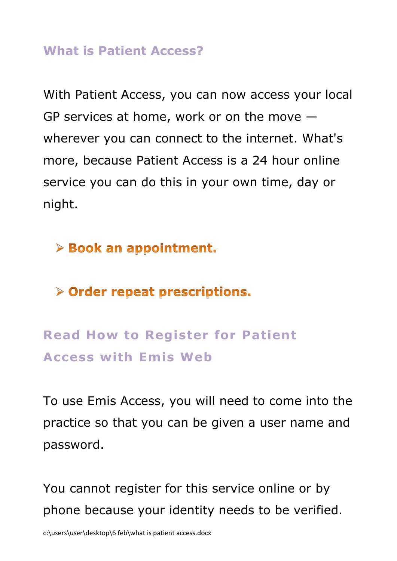### **What is Patient Access?**

With Patient Access, you can now access your local GP services at home, work or on the move wherever you can connect to the internet. What's more, because Patient Access is a 24 hour online service you can do this in your own time, day or night.

### > Book an appointment.

> Order repeat prescriptions.

**Read How to Register for Patient Access w ith Em is Web**

To use Emis Access, you will need to come into the practice so that you can be given a user name and password.

You cannot register for this service online or by phone because your identity needs to be verified.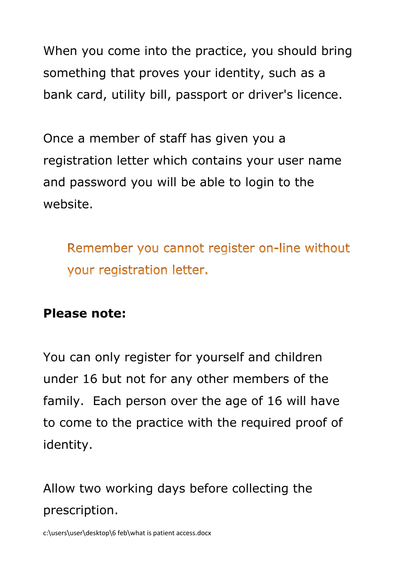When you come into the practice, you should bring something that proves your identity, such as a bank card, utility bill, passport or driver's licence.

Once a member of staff has given you a registration letter which contains your user name and password you will be able to login to the website.

Remember you cannot register on-line without your registration letter.

## **Please note:**

You can only register for yourself and children under 16 but not for any other members of the family. Each person over the age of 16 will have to come to the practice with the required proof of identity.

Allow two working days before collecting the prescription.

c:\users\user\desktop\6 feb\what is patient access.docx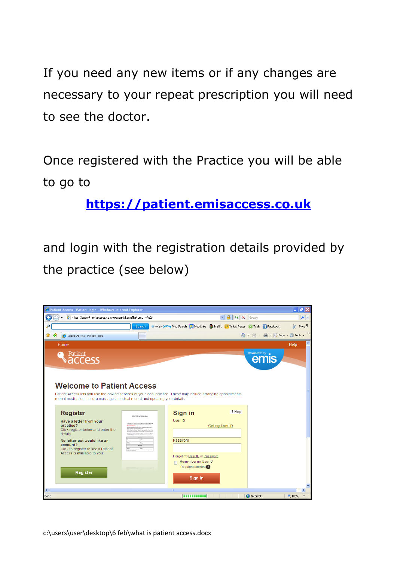If you need any new items or if any changes are necessary to your repeat prescription you will need to see the doctor.

Once registered with the Practice you will be able to go to

**[https://patient.emisaccess.co.uk](https://patient.emisaccess.co.uk/)**

and login with the registration details provided by the practice (see below)

| Patient Access Patient login - Windows Internet Explorer                                                           |                                                                            | $\ .\ $ a $\ $ $\times$ $\ $             |
|--------------------------------------------------------------------------------------------------------------------|----------------------------------------------------------------------------|------------------------------------------|
| E https://patient.emisaccess.co.uk/Account/Login?ReturnUrl=%2f                                                     | $\mathbf{A}$<br>$+$ $\times$<br>$\checkmark$                               | $\rho$ .<br>Google                       |
| م<br><b>Search</b>                                                                                                 | mopsgoloxy Map Search Map Links & Traffic VP Yellow Pages & Tools Facebook | <del>☆</del> More <sup></sup>            |
| ☆<br>ंद्री<br>Patient Access Patient login                                                                         |                                                                            | ■ · ☆ Page · ⊙ Tools ·<br>$\wedge$ . E . |
| Home                                                                                                               |                                                                            | $\hat{\phantom{a}}$<br>Help              |
| Patient<br>access                                                                                                  |                                                                            | powered by<br>emis                       |
|                                                                                                                    |                                                                            |                                          |
|                                                                                                                    |                                                                            |                                          |
| <b>Welcome to Patient Access</b>                                                                                   |                                                                            |                                          |
| Patient Access lets you use the on-line services of your local practice. These may include arranging appointments, |                                                                            |                                          |
| repeat medication, secure messages, medical record and updating your details.                                      |                                                                            |                                          |
| <b>Register</b>                                                                                                    | ? Help<br>Sign in                                                          |                                          |
| <b><i>DRAFTSELLETTER MEAD</i></b><br>Have a letter from your                                                       | User ID                                                                    |                                          |
| practice?<br>Click register below and enter the                                                                    | Get my User ID                                                             |                                          |
| details.<br>No letter but would like an                                                                            | Password                                                                   |                                          |
| account?<br>Click to register to see if Patient                                                                    |                                                                            |                                          |
| Access is available to you.                                                                                        | I forgot my User ID or Password                                            |                                          |
|                                                                                                                    | Remember my User ID<br>П<br>Requires cookies                               |                                          |
| Register                                                                                                           |                                                                            |                                          |
|                                                                                                                    | Sign in                                                                    |                                          |
| ∢                                                                                                                  |                                                                            |                                          |
| Done                                                                                                               | <b>SERGERSTER</b>                                                          | nternet<br>电 100% *                      |